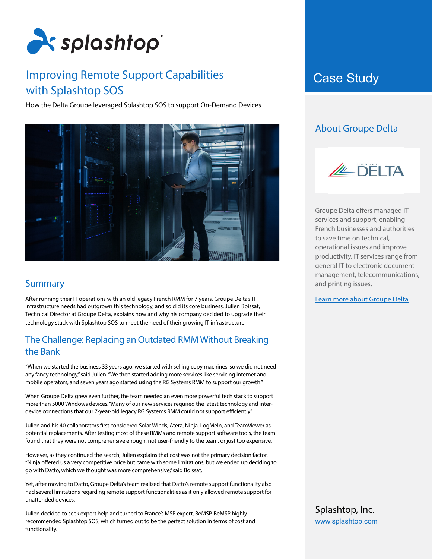

## Improving Remote Support Capabilities **Case Study** with Splashtop SOS

How the Delta Groupe leveraged Splashtop SOS to support On-Demand Devices



## **Summary**

After running their IT operations with an old legacy French RMM for 7 years, Groupe Delta's IT infrastructure needs had outgrown this technology, and so did its core business. Julien Boissat, Technical Director at Groupe Delta, explains how and why his company decided to upgrade their technology stack with Splashtop SOS to meet the need of their growing IT infrastructure.

## The Challenge: Replacing an Outdated RMM Without Breaking the Bank

"When we started the business 33 years ago, we started with selling copy machines, so we did not need any fancy technology," said Julien. "We then started adding more services like servicing internet and mobile operators, and seven years ago started using the RG Systems RMM to support our growth."

When Groupe Delta grew even further, the team needed an even more powerful tech stack to support more than 5000 Windows devices. "Many of our new services required the latest technology and interdevice connections that our 7-year-old legacy RG Systems RMM could not support efficiently."

Julien and his 40 collaborators first considered Solar Winds, Atera, Ninja, LogMeIn, and TeamViewer as potential replacements. After testing most of these RMMs and remote support software tools, the team found that they were not comprehensive enough, not user-friendly to the team, or just too expensive.

However, as they continued the search, Julien explains that cost was not the primary decision factor. "Ninja offered us a very competitive price but came with some limitations, but we ended up deciding to go with Datto, which we thought was more comprehensive," said Boissat.

Yet, after moving to Datto, Groupe Delta's team realized that Datto's remote support functionality also had several limitations regarding remote support functionalities as it only allowed remote support for unattended devices.

Julien decided to seek expert help and turned to France's MSP expert, BeMSP. BeMSP highly recommended Splashtop SOS, which turned out to be the perfect solution in terms of cost and functionality.

## About Groupe Delta



Groupe Delta offers managed IT services and support, enabling French businesses and authorities to save time on technical, operational issues and improve productivity. IT services range from general IT to electronic document management, telecommunications, and printing issues.

[Learn more about Groupe Delta](https://www.groupe-delta.com/)

Splashtop, Inc. [www.splashtop.com](https://www.splashtop.com/)